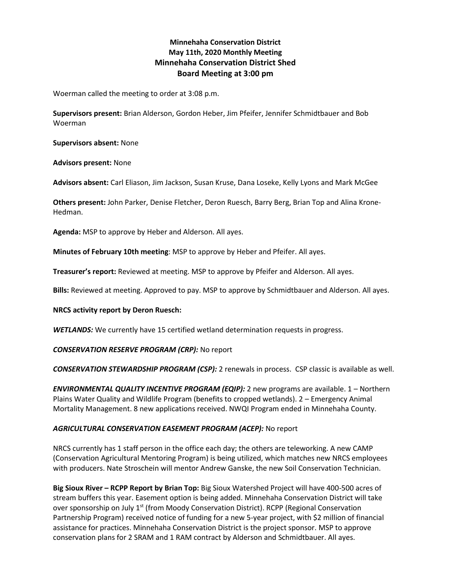# **Minnehaha Conservation District May 11th, 2020 Monthly Meeting Minnehaha Conservation District Shed Board Meeting at 3:00 pm**

Woerman called the meeting to order at 3:08 p.m.

**Supervisors present:** Brian Alderson, Gordon Heber, Jim Pfeifer, Jennifer Schmidtbauer and Bob Woerman

**Supervisors absent:** None

**Advisors present:** None

**Advisors absent:** Carl Eliason, Jim Jackson, Susan Kruse, Dana Loseke, Kelly Lyons and Mark McGee

**Others present:** John Parker, Denise Fletcher, Deron Ruesch, Barry Berg, Brian Top and Alina Krone-Hedman.

**Agenda:** MSP to approve by Heber and Alderson. All ayes.

**Minutes of February 10th meeting**: MSP to approve by Heber and Pfeifer. All ayes.

**Treasurer's report:** Reviewed at meeting. MSP to approve by Pfeifer and Alderson. All ayes.

**Bills:** Reviewed at meeting. Approved to pay. MSP to approve by Schmidtbauer and Alderson. All ayes.

**NRCS activity report by Deron Ruesch:**

*WETLANDS:* We currently have 15 certified wetland determination requests in progress.

*CONSERVATION RESERVE PROGRAM (CRP):* No report

*CONSERVATION STEWARDSHIP PROGRAM (CSP):* 2 renewals in process. CSP classic is available as well.

*ENVIRONMENTAL QUALITY INCENTIVE PROGRAM (EQIP):* 2 new programs are available. 1 – Northern Plains Water Quality and Wildlife Program (benefits to cropped wetlands). 2 – Emergency Animal Mortality Management. 8 new applications received. NWQI Program ended in Minnehaha County.

# *AGRICULTURAL CONSERVATION EASEMENT PROGRAM (ACEP):* No report

NRCS currently has 1 staff person in the office each day; the others are teleworking. A new CAMP (Conservation Agricultural Mentoring Program) is being utilized, which matches new NRCS employees with producers. Nate Stroschein will mentor Andrew Ganske, the new Soil Conservation Technician.

**Big Sioux River – RCPP Report by Brian Top:** Big Sioux Watershed Project will have 400-500 acres of stream buffers this year. Easement option is being added. Minnehaha Conservation District will take over sponsorship on July  $1<sup>st</sup>$  (from Moody Conservation District). RCPP (Regional Conservation Partnership Program) received notice of funding for a new 5-year project, with \$2 million of financial assistance for practices. Minnehaha Conservation District is the project sponsor. MSP to approve conservation plans for 2 SRAM and 1 RAM contract by Alderson and Schmidtbauer. All ayes.